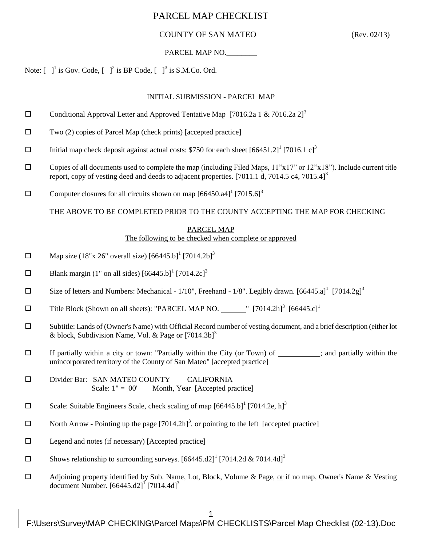## COUNTY OF SAN MATEO (Rev. 02/13)

## PARCEL MAP NO.

Note:  $\begin{bmatrix} 1 \end{bmatrix}$  is Gov. Code,  $\begin{bmatrix} 1 \end{bmatrix}^2$  is BP Code,  $\begin{bmatrix} 1 \end{bmatrix}^3$  is S.M.Co. Ord.

## INITIAL SUBMISSION - PARCEL MAP

- Conditional Approval Letter and Approved Tentative Map [7016.2a 1 & 7016.2a 2]<sup>3</sup>
- $\square$  Two (2) copies of Parcel Map (check prints) [accepted practice]
- $\Box$  Initial map check deposit against actual costs: \$750 for each sheet  $[66451.2]^1$  [7016.1 c]<sup>3</sup>
- $\Box$  Copies of all documents used to complete the map (including Filed Maps,  $11"x17"$  or  $12"x18"$ ). Include current title report, copy of vesting deed and deeds to adjacent properties. [7011.1 d, 7014.5 c4, 7015.4]<sup>3</sup>
- $\Box$  Computer closures for all circuits shown on map  $[66450.a4]$ <sup>1</sup> [7015.6]<sup>3</sup>

THE ABOVE TO BE COMPLETED PRIOR TO THE COUNTY ACCEPTING THE MAP FOR CHECKING

## PARCEL MAP The following to be checked when complete or approved

- $\Box$  Map size (18"x 26" overall size) [66445.b]<sup>1</sup> [7014.2b]<sup>3</sup>
- $\Box$  Blank margin (1" on all sides)  $[66445.b]^1$   $[7014.2c]^3$
- $\square$  Size of letters and Numbers: Mechanical 1/10", Freehand 1/8". Legibly drawn. [66445.a]<sup>1</sup> [7014.2g]<sup>3</sup>
- $\Box$  Title Block (Shown on all sheets): "PARCEL MAP NO.  $\Box$ " [7014.2h]<sup>3</sup> [66445.c]<sup>1</sup>
- $\square$  Subtitle: Lands of (Owner's Name) with Official Record number of vesting document, and a brief description (either lot & block, Subdivision Name, Vol. & Page or  $[7014.3b]$ <sup>3</sup>
- $\Box$  If partially within a city or town: "Partially within the City (or Town) of ; and partially within the unincorporated territory of the County of San Mateo" [accepted practice]
- Divider Bar: SAN MATEO COUNTY CALIFORNIA Scale:  $1'' = 00'$  Month, Year [Accepted practice]
- Scale: Suitable Engineers Scale, check scaling of map  $[66445.b]^1$   $[7014.2e, h]^3$
- $\Box$  North Arrow Pointing up the page  $[7014.2h]^3$ , or pointing to the left [accepted practice]
- $\Box$  Legend and notes (if necessary) [Accepted practice]
- $\square$  Shows relationship to surrounding surveys. [66445.d2]<sup>1</sup> [7014.2d & 7014.4d]<sup>3</sup>
- □ Adjoining property identified by Sub. Name, Lot, Block, Volume & Page, or if no map, Owner's Name & Vesting document Number.  $[66445. d2]$ <sup>1</sup>  $[7014.4d]$ <sup>3</sup>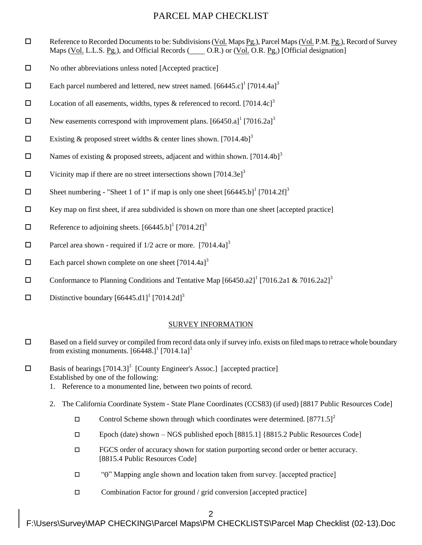- $\square$  Reference to Recorded Documents to be: Subdivisions (Vol. Maps Pg.), Parcel Maps (Vol. P.M. Pg.), Record of Survey Maps (Vol. L.L.S. Pg.), and Official Records ( O.R.) or (Vol. O.R. Pg.) [Official designation]
- $\square$  No other abbreviations unless noted [Accepted practice]
- $\Box$  Each parcel numbered and lettered, new street named.  $[66445 \text{ c}]$ <sup>1</sup>  $[7014.4a]$ <sup>3</sup>
- D Location of all easements, widths, types & referenced to record. [7014.4c]<sup>3</sup>
- $\Box$  New easements correspond with improvement plans. [66450.a]<sup>1</sup> [7016.2a]<sup>3</sup>
- Existing & proposed street widths & center lines shown. [7014.4b]<sup>3</sup>
- $\Box$  Names of existing & proposed streets, adjacent and within shown. [7014.4b]<sup>3</sup>
- $\Box$  Vicinity map if there are no street intersections shown [7014.3e]<sup>3</sup>
- Sheet numbering "Sheet 1 of 1" if map is only one sheet  $[66445.b]^1$   $[7014.2f]^3$
- $\Box$  Key map on first sheet, if area subdivided is shown on more than one sheet [accepted practice]
- $\Box$  Reference to adjoining sheets.  $[66445.b]^1$   $[7014.2f]^3$
- $\Box$  Parcel area shown required if 1/2 acre or more. [7014.4a]<sup>3</sup>
- $\Box$  Each parcel shown complete on one sheet [7014.4a]<sup>3</sup>
- □ Conformance to Planning Conditions and Tentative Map  $[66450.a2]$ <sup>1</sup> [7016.2a1 & 7016.2a2]<sup>3</sup>
- $\Box$  Distinctive boundary  $[66445. d1]$ <sup>1</sup>  $[7014.2d]$ <sup>3</sup>

#### SURVEY INFORMATION

- $\square$  Based on a field survey or compiled from record data only if survey info. exists on filed maps to retrace whole boundary from existing monuments.  $[66448.]^1$   $[7014.1a]^3$
- $\square$  Basis of bearings [7014.3]<sup>3</sup> [County Engineer's Assoc.] [accepted practice] Established by one of the following:
	- 1. Reference to a monumented line, between two points of record.
	- 2. The California Coordinate System State Plane Coordinates (CCS83) (if used) [8817 Public Resources Code]
		- Control Scheme shown through which coordinates were determined.  $[8771.5]^{2}$
		- Epoch (date) shown NGS published epoch [8815.1] {8815.2 Public Resources Code]
		- FGCS order of accuracy shown for station purporting second order or better accuracy. [8815.4 Public Resources Code]
		- $\Box$  " $\Theta$ " Mapping angle shown and location taken from survey. [accepted practice]
		- $\square$  Combination Factor for ground / grid conversion [accepted practice]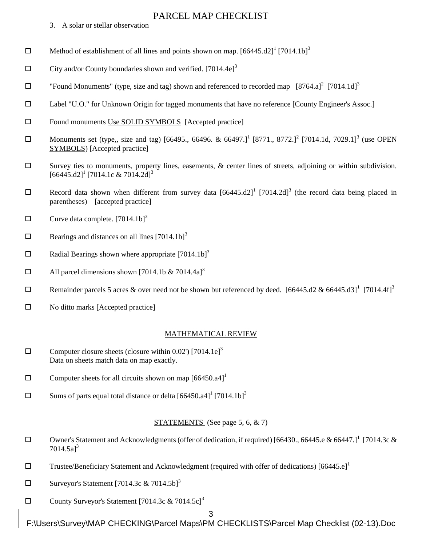- 3. A solar or stellar observation
- $\Box$  Method of establishment of all lines and points shown on map.  $[66445. d2]$ <sup>1</sup> [7014.1b]<sup>3</sup>
- $\Box$  City and/or County boundaries shown and verified. [7014.4e]<sup>3</sup>
- $\Box$  "Found Monuments" (type, size and tag) shown and referenced to recorded map [8764.a]<sup>2</sup> [7014.1d]<sup>3</sup>
- Label "U.O." for Unknown Origin for tagged monuments that have no reference [County Engineer's Assoc.]
- Found monuments Use SOLID SYMBOLS [Accepted practice]
- □ Monuments set (type,, size and tag) [66495., 66496. & 66497.]<sup>1</sup> [8771., 8772.]<sup>2</sup> [7014.1d, 7029.1]<sup>3</sup> (use <u>OPEN</u> SYMBOLS) [Accepted practice]
- $\square$  Survey ties to monuments, property lines, easements, & center lines of streets, adjoining or within subdivision.  $[66445. d2]$ <sup>1</sup> [7014.1c & 7014.2d]<sup>3</sup>
- $\Box$  Record data shown when different from survey data  $[66445. d2]^1$   $[7014.2d]^3$  (the record data being placed in parentheses) [accepted practice]
- $\Box$  Curve data complete. [7014.1b]<sup>3</sup>
- $\Box$  Bearings and distances on all lines [7014.1b]<sup>3</sup>
- $\Box$  Radial Bearings shown where appropriate [7014.1b]<sup>3</sup>
- $\Box$  All parcel dimensions shown [7014.1b & 7014.4a]<sup>3</sup>
- $\Box$  Remainder parcels 5 acres & over need not be shown but referenced by deed. [66445.d2 & 66445.d3]<sup>1</sup> [7014.4f]<sup>3</sup>
- $\square$  No ditto marks [Accepted practice]

### MATHEMATICAL REVIEW

- $\square$  Computer closure sheets (closure within 0.02') [7014.1e]<sup>3</sup> Data on sheets match data on map exactly.
- $\square$  Computer sheets for all circuits shown on map [66450.a4]<sup>1</sup>
- $\square$  Sums of parts equal total distance or delta  $[66450.a4]$ <sup>1</sup>  $[7014.1b]$ <sup>3</sup>

### STATEMENTS (See page 5, 6, & 7)

- Owner's Statement and Acknowledgments (offer of dedication, if required) [66430., 66445.e & 66447.]<sup>1</sup> [7014.3c &  $7014.5a$ <sup>3</sup>
- **Trustee/Beneficiary Statement and Acknowledgment (required with offer of dedications)** [66445.e]<sup>1</sup>
- $\square$  Surveyor's Statement [7014.3c & 7014.5b]<sup>3</sup>
- County Surveyor's Statement [7014.3c  $& 7014.5c$ ]<sup>3</sup>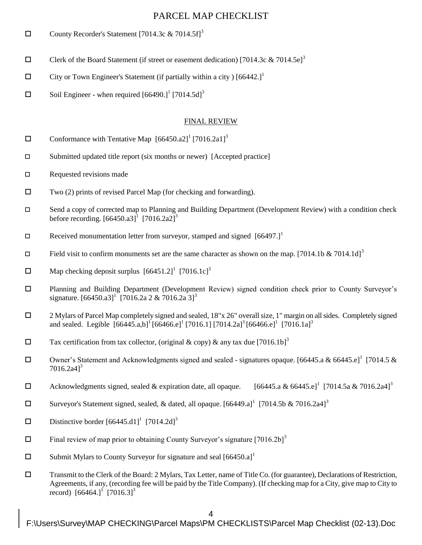- County Recorder's Statement [7014.3c  $& 7014.5f$ ]<sup>3</sup>
- **Clerk of the Board Statement (if street or easement dedication)** [7014.3c  $\&$  7014.5e]<sup>3</sup>
- $\Box$  City or Town Engineer's Statement (if partially within a city ) [66442.]<sup>1</sup>
- $\Box$  Soil Engineer when required  $[66490.]$ <sup>1</sup> [7014.5d]<sup>3</sup>

### FINAL REVIEW

- $\Box$  Conformance with Tentative Map  $[66450.a2]$ <sup>1</sup> [7016.2a1]<sup>3</sup>
- Submitted updated title report (six months or newer) [Accepted practice]
- $\square$  Requested revisions made
- $\square$  Two (2) prints of revised Parcel Map (for checking and forwarding).
- Send a copy of corrected map to Planning and Building Department (Development Review) with a condition check before recording.  $[66450.a3]$ <sup>1</sup>  $[7016.2a2]$ <sup>3</sup>
- Received monumentation letter from surveyor, stamped and signed  $[66497.]^1$
- Field visit to confirm monuments set are the same character as shown on the map. [7014.1b & 7014.1d]<sup>3</sup>
- $\Box$  Map checking deposit surplus  $[66451.2]^1$   $[7016.1c]^3$
- Planning and Building Department (Development Review) signed condition check prior to County Surveyor's signature.  $[66450.a3]$ <sup>1</sup> [7016.2a 2 & 7016.2a 3]<sup>3</sup>
- $\Box$  2 Mylars of Parcel Map completely signed and sealed,  $18"x 26"$  overall size, 1" margin on all sides. Completely signed and sealed. Legible  $[66445.a,b]^1[66466.e]^1[7016.1] [7014.2a]^3[66466.e]^1[7016.1a]^3$
- Tax certification from tax collector, (original & copy) & any tax due  $[7016.1b]$ <sup>3</sup>
- $\Box$  Owner's Statement and Acknowledgments signed and sealed signatures opaque. [66445.a & 66445.e]<sup>1</sup> [7014.5 &  $7016.2a41<sup>3</sup>$
- $\Box$  Acknowledgments signed, sealed & expiration date, all opaque.  $[66445.a & 66445.e]$ <sup>1</sup>  $[7014.5a & 7016.2a4]$ <sup>3</sup>
- $\square$  Surveyor's Statement signed, sealed, & dated, all opaque. [66449.a]<sup>1</sup> [7014.5b & 7016.2a4]<sup>3</sup>
- $\Box$  Distinctive border  $[66445. d1]$ <sup>1</sup>  $[7014.2d]$ <sup>3</sup>
- $\Box$  Final review of map prior to obtaining County Surveyor's signature [7016.2b]<sup>3</sup>
- $\square$  Submit Mylars to County Surveyor for signature and seal  $[66450.a]$ <sup>1</sup>
- Transmit to the Clerk of the Board: 2 Mylars, Tax Letter, name of Title Co. (for guarantee), Declarations of Restriction, Agreements, if any, (recording fee will be paid by the Title Company). (If checking map for a City, give map to City to record)  $[66464.]$ <sup>1</sup>  $[7016.3]$ <sup>3</sup>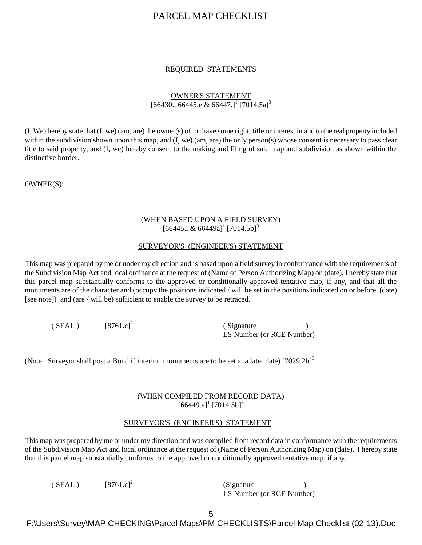#### REQUIRED STATEMENTS

### OWNER'S STATEMENT  $[66430., 66445.e & 66447.]^1$   $[7014.5a]^3$

(I, We) hereby state that (I, we) (am, are) the owner(s) of, or have some right, title or interest in and to the real property included within the subdivision shown upon this map, and (I, we) (am, are) the only person(s) whose consent is necessary to pass clear title to said property, and (I, we) hereby consent to the making and filing of said map and subdivision as shown within the distinctive border.

OWNER(S): \_\_\_\_\_\_\_\_\_\_\_\_\_\_\_\_\_\_

### (WHEN BASED UPON A FIELD SURVEY)  $[66445.i & 66449a]$ <sup>1</sup> [7014.5b]<sup>3</sup>

#### SURVEYOR'S (ENGINEER'S) STATEMENT

This map was prepared by me or under my direction and is based upon a field survey in conformance with the requirements of the Subdivision Map Act and local ordinance at the request of (Name of Person Authorizing Map) on (date). I hereby state that this parcel map substantially conforms to the approved or conditionally approved tentative map, if any, and that all the monuments are of the character and (occupy the positions indicated / will be set in the positions indicated on or before (date) [see note]) and (are / will be) sufficient to enable the survey to be retraced.

 $(SEAL)$  [8761.c]<sup>2</sup> (Signature ) LS Number (or RCE Number)

(Note: Surveyor shall post a Bond if interior monuments are to be set at a later date)  $[7029.2b]$ <sup>3</sup>

### (WHEN COMPILED FROM RECORD DATA)  $[66449.a]$ <sup>1</sup> $[7014.5b]$ <sup>3</sup>

### SURVEYOR'S (ENGINEER'S) STATEMENT

This map was prepared by me or under my direction and was compiled from record data in conformance with the requirements of the Subdivision Map Act and local ordinance at the request of (Name of Person Authorizing Map) on (date). I hereby state that this parcel map substantially conforms to the approved or conditionally approved tentative map, if any.

| (SEAL) | [8761.c] <sup>2</sup> | (Signature)               |
|--------|-----------------------|---------------------------|
|        |                       | LS Number (or RCE Number) |

5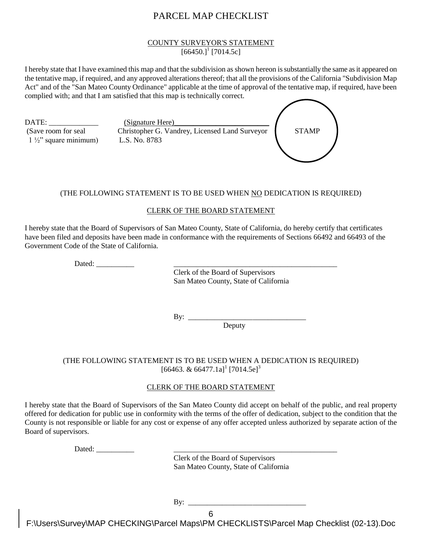#### COUNTY SURVEYOR'S STATEMENT  $[66450.]<sup>1</sup> [7014.5c]$

I hereby state that I have examined this map and that the subdivision as shown hereon is substantially the same as it appeared on the tentative map, if required, and any approved alterations thereof; that all the provisions of the California "Subdivision Map Act" and of the "San Mateo County Ordinance" applicable at the time of approval of the tentative map, if required, have been complied with; and that I am satisfied that this map is technically correct.

DATE: (Signature Here) (Save room for seal Christopher G. Vandrey, Licensed Land Surveyor STAMP (Save room for seal Christopher G. Vandrey, Lice 1 <sup>1</sup>/<sub>2</sub>" square minimum) L.S. No. 8783



### (THE FOLLOWING STATEMENT IS TO BE USED WHEN NO DEDICATION IS REQUIRED)

#### CLERK OF THE BOARD STATEMENT

I hereby state that the Board of Supervisors of San Mateo County, State of California, do hereby certify that certificates have been filed and deposits have been made in conformance with the requirements of Sections 66492 and 66493 of the Government Code of the State of California.

Dated: \_\_\_\_\_\_\_\_\_\_ \_\_\_\_\_\_\_\_\_\_\_\_\_\_\_\_\_\_\_\_\_\_\_\_\_\_\_\_\_\_\_\_\_\_\_\_\_\_\_\_\_\_\_

Clerk of the Board of Supervisors San Mateo County, State of California

By: \_\_\_\_\_\_\_\_\_\_\_\_\_\_\_\_\_\_\_\_\_\_\_\_\_\_\_\_\_\_\_

Deputy

(THE FOLLOWING STATEMENT IS TO BE USED WHEN A DEDICATION IS REQUIRED)  $[66463, & 66477.1a]^1$   $[7014.5e]^3$ 

#### CLERK OF THE BOARD STATEMENT

I hereby state that the Board of Supervisors of the San Mateo County did accept on behalf of the public, and real property offered for dedication for public use in conformity with the terms of the offer of dedication, subject to the condition that the County is not responsible or liable for any cost or expense of any offer accepted unless authorized by separate action of the Board of supervisors.

Dated: \_\_\_\_\_\_\_\_\_\_ \_\_\_\_\_\_\_\_\_\_\_\_\_\_\_\_\_\_\_\_\_\_\_\_\_\_\_\_\_\_\_\_\_\_\_\_\_\_\_\_\_\_\_

Clerk of the Board of Supervisors San Mateo County, State of California

By: \_\_\_\_\_\_\_\_\_\_\_\_\_\_\_\_\_\_\_\_\_\_\_\_\_\_\_\_\_\_\_